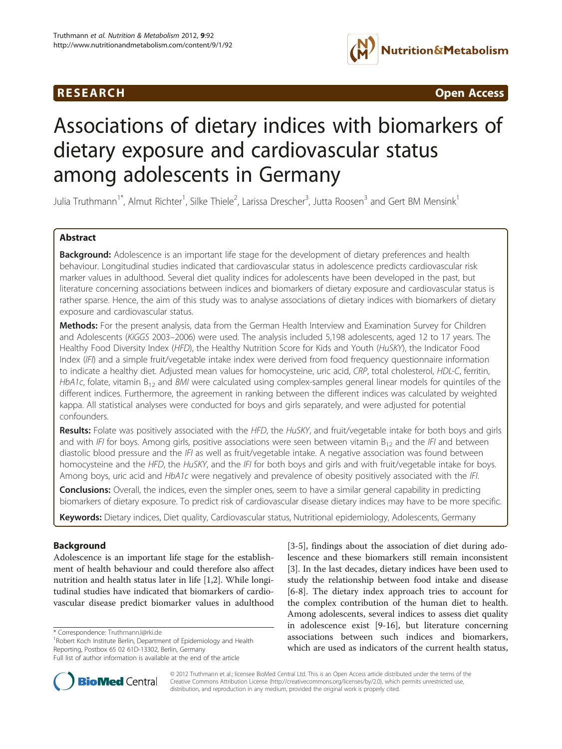## **RESEARCH CHINESEARCH CHINESEARCH CHINESE**



# Associations of dietary indices with biomarkers of dietary exposure and cardiovascular status among adolescents in Germany

Julia Truthmann<sup>1\*</sup>, Almut Richter<sup>1</sup>, Silke Thiele<sup>2</sup>, Larissa Drescher<sup>3</sup>, Jutta Roosen<sup>3</sup> and Gert BM Mensink<sup>1</sup>

## Abstract

Background: Adolescence is an important life stage for the development of dietary preferences and health behaviour. Longitudinal studies indicated that cardiovascular status in adolescence predicts cardiovascular risk marker values in adulthood. Several diet quality indices for adolescents have been developed in the past, but literature concerning associations between indices and biomarkers of dietary exposure and cardiovascular status is rather sparse. Hence, the aim of this study was to analyse associations of dietary indices with biomarkers of dietary exposure and cardiovascular status.

Methods: For the present analysis, data from the German Health Interview and Examination Survey for Children and Adolescents (KiGGS 2003–2006) were used. The analysis included 5,198 adolescents, aged 12 to 17 years. The Healthy Food Diversity Index (HFD), the Healthy Nutrition Score for Kids and Youth (HuSKY), the Indicator Food Index (IFI) and a simple fruit/vegetable intake index were derived from food frequency questionnaire information to indicate a healthy diet. Adjusted mean values for homocysteine, uric acid, CRP, total cholesterol, HDL-C, ferritin, HbA1c, folate, vitamin  $B_{12}$  and BMI were calculated using complex-samples general linear models for quintiles of the different indices. Furthermore, the agreement in ranking between the different indices was calculated by weighted kappa. All statistical analyses were conducted for boys and girls separately, and were adjusted for potential confounders.

Results: Folate was positively associated with the HFD, the HuSKY, and fruit/vegetable intake for both boys and girls and with IFI for boys. Among girls, positive associations were seen between vitamin  $B_{12}$  and the IFI and between diastolic blood pressure and the IFI as well as fruit/vegetable intake. A negative association was found between homocysteine and the HFD, the HuSKY, and the IFI for both boys and girls and with fruit/vegetable intake for boys. Among boys, uric acid and HbA1c were negatively and prevalence of obesity positively associated with the IFI.

Conclusions: Overall, the indices, even the simpler ones, seem to have a similar general capability in predicting biomarkers of dietary exposure. To predict risk of cardiovascular disease dietary indices may have to be more specific.

Keywords: Dietary indices, Diet quality, Cardiovascular status, Nutritional epidemiology, Adolescents, Germany

## Background

Adolescence is an important life stage for the establishment of health behaviour and could therefore also affect nutrition and health status later in life [[1,2\]](#page-12-0). While longitudinal studies have indicated that biomarkers of cardiovascular disease predict biomarker values in adulthood

[[3-5](#page-12-0)], findings about the association of diet during adolescence and these biomarkers still remain inconsistent [[3\]](#page-12-0). In the last decades, dietary indices have been used to study the relationship between food intake and disease [[6-8](#page-12-0)]. The dietary index approach tries to account for the complex contribution of the human diet to health. Among adolescents, several indices to assess diet quality in adolescence exist [[9-16](#page-12-0)], but literature concerning associations between such indices and biomarkers, which are used as indicators of the current health status,



© 2012 Truthmann et al.; licensee BioMed Central Ltd. This is an Open Access article distributed under the terms of the Creative Commons Attribution License (<http://creativecommons.org/licenses/by/2.0>), which permits unrestricted use, distribution, and reproduction in any medium, provided the original work is properly cited.

<sup>\*</sup> Correspondence: [TruthmannJ@rki.de](mailto:TruthmannJ@rki.de) <sup>1</sup>

<sup>&</sup>lt;sup>1</sup> Robert Koch Institute Berlin, Department of Epidemiology and Health Reporting, Postbox 65 02 61D-13302, Berlin, Germany

Full list of author information is available at the end of the article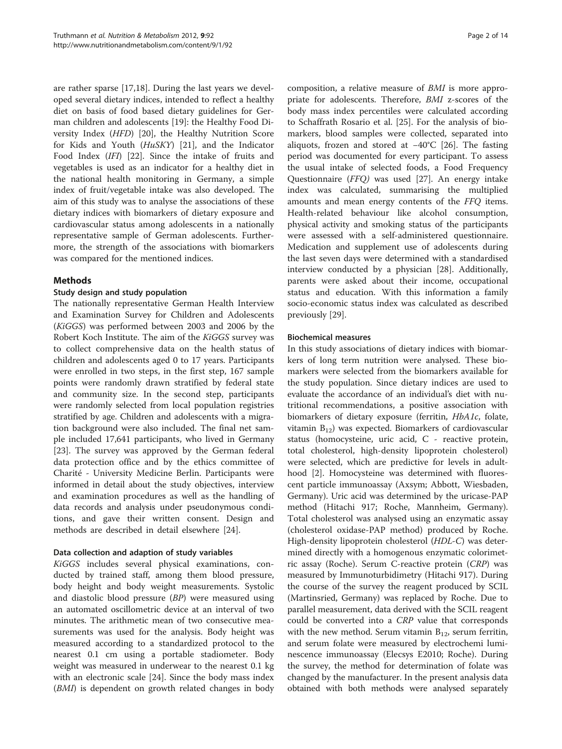are rather sparse [[17,18\]](#page-12-0). During the last years we developed several dietary indices, intended to reflect a healthy diet on basis of food based dietary guidelines for German children and adolescents [\[19\]](#page-12-0): the Healthy Food Diversity Index (HFD) [\[20\]](#page-12-0), the Healthy Nutrition Score for Kids and Youth (HuSKY) [[21](#page-12-0)], and the Indicator Food Index (IFI) [\[22\]](#page-12-0). Since the intake of fruits and vegetables is used as an indicator for a healthy diet in the national health monitoring in Germany, a simple index of fruit/vegetable intake was also developed. The aim of this study was to analyse the associations of these dietary indices with biomarkers of dietary exposure and cardiovascular status among adolescents in a nationally representative sample of German adolescents. Furthermore, the strength of the associations with biomarkers was compared for the mentioned indices.

## Methods

## Study design and study population

The nationally representative German Health Interview and Examination Survey for Children and Adolescents (KiGGS) was performed between 2003 and 2006 by the Robert Koch Institute. The aim of the KiGGS survey was to collect comprehensive data on the health status of children and adolescents aged 0 to 17 years. Participants were enrolled in two steps, in the first step, 167 sample points were randomly drawn stratified by federal state and community size. In the second step, participants were randomly selected from local population registries stratified by age. Children and adolescents with a migration background were also included. The final net sample included 17,641 participants, who lived in Germany [[23\]](#page-12-0). The survey was approved by the German federal data protection office and by the ethics committee of Charité - University Medicine Berlin. Participants were informed in detail about the study objectives, interview and examination procedures as well as the handling of data records and analysis under pseudonymous conditions, and gave their written consent. Design and methods are described in detail elsewhere [[24\]](#page-12-0).

## Data collection and adaption of study variables

KiGGS includes several physical examinations, conducted by trained staff, among them blood pressure, body height and body weight measurements. Systolic and diastolic blood pressure (BP) were measured using an automated oscillometric device at an interval of two minutes. The arithmetic mean of two consecutive measurements was used for the analysis. Body height was measured according to a standardized protocol to the nearest 0.1 cm using a portable stadiometer. Body weight was measured in underwear to the nearest 0.1 kg with an electronic scale [\[24\]](#page-12-0). Since the body mass index (BMI) is dependent on growth related changes in body

composition, a relative measure of BMI is more appropriate for adolescents. Therefore, BMI z-scores of the body mass index percentiles were calculated according to Schaffrath Rosario et al. [[25\]](#page-12-0). For the analysis of biomarkers, blood samples were collected, separated into aliquots, frozen and stored at −40°C [\[26](#page-12-0)]. The fasting period was documented for every participant. To assess the usual intake of selected foods, a Food Frequency Questionnaire (FFQ) was used [[27\]](#page-12-0). An energy intake index was calculated, summarising the multiplied amounts and mean energy contents of the FFQ items. Health-related behaviour like alcohol consumption, physical activity and smoking status of the participants were assessed with a self-administered questionnaire. Medication and supplement use of adolescents during the last seven days were determined with a standardised interview conducted by a physician [[28\]](#page-12-0). Additionally, parents were asked about their income, occupational status and education. With this information a family socio-economic status index was calculated as described previously [\[29\]](#page-13-0).

## Biochemical measures

In this study associations of dietary indices with biomarkers of long term nutrition were analysed. These biomarkers were selected from the biomarkers available for the study population. Since dietary indices are used to evaluate the accordance of an individual's diet with nutritional recommendations, a positive association with biomarkers of dietary exposure (ferritin, HbA1c, folate, vitamin  $B_{12}$ ) was expected. Biomarkers of cardiovascular status (homocysteine, uric acid, C - reactive protein, total cholesterol, high-density lipoprotein cholesterol) were selected, which are predictive for levels in adulthood [[2\]](#page-12-0). Homocysteine was determined with fluorescent particle immunoassay (Axsym; Abbott, Wiesbaden, Germany). Uric acid was determined by the uricase-PAP method (Hitachi 917; Roche, Mannheim, Germany). Total cholesterol was analysed using an enzymatic assay (cholesterol oxidase-PAP method) produced by Roche. High-density lipoprotein cholesterol (HDL-C) was determined directly with a homogenous enzymatic colorimetric assay (Roche). Serum C-reactive protein (CRP) was measured by Immunoturbidimetry (Hitachi 917). During the course of the survey the reagent produced by SCIL (Martinsried, Germany) was replaced by Roche. Due to parallel measurement, data derived with the SCIL reagent could be converted into a CRP value that corresponds with the new method. Serum vitamin  $B_{12}$ , serum ferritin, and serum folate were measured by electrochemi luminescence immunoassay (Elecsys E2010; Roche). During the survey, the method for determination of folate was changed by the manufacturer. In the present analysis data obtained with both methods were analysed separately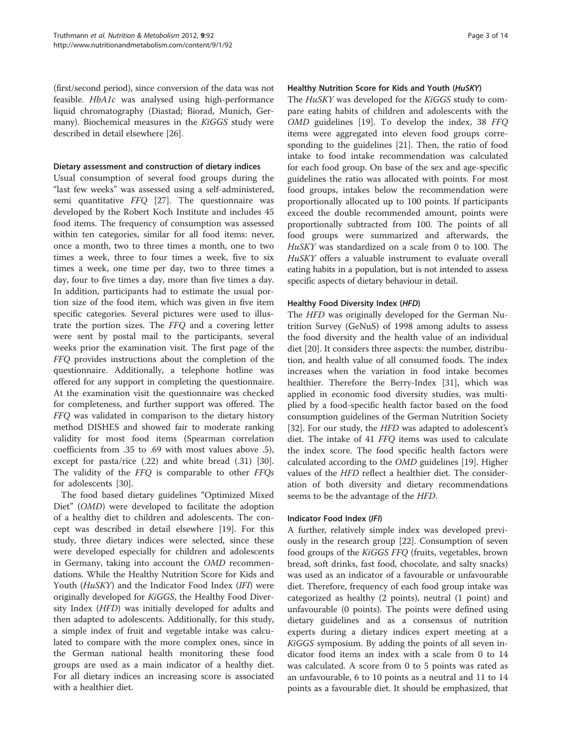(first/second period), since conversion of the data was not feasible. HbA1c was analysed using high-performance liquid chromatography (Diastad; Biorad, Munich, Germany). Biochemical measures in the KiGGS study were described in detail elsewhere [\[26](#page-12-0)].

## Dietary assessment and construction of dietary indices

Usual consumption of several food groups during the "last few weeks" was assessed using a self-administered, semi quantitative FFQ [[27](#page-12-0)]. The questionnaire was developed by the Robert Koch Institute and includes 45 food items. The frequency of consumption was assessed within ten categories, similar for all food items: never, once a month, two to three times a month, one to two times a week, three to four times a week, five to six times a week, one time per day, two to three times a day, four to five times a day, more than five times a day. In addition, participants had to estimate the usual portion size of the food item, which was given in five item specific categories. Several pictures were used to illustrate the portion sizes. The FFQ and a covering letter were sent by postal mail to the participants, several weeks prior the examination visit. The first page of the FFQ provides instructions about the completion of the questionnaire. Additionally, a telephone hotline was offered for any support in completing the questionnaire. At the examination visit the questionnaire was checked for completeness, and further support was offered. The FFQ was validated in comparison to the dietary history method DISHES and showed fair to moderate ranking validity for most food items (Spearman correlation coefficients from .35 to .69 with most values above .5), except for pasta/rice (.22) and white bread (.31) [\[30](#page-13-0)]. The validity of the FFQ is comparable to other FFQs for adolescents [\[30\]](#page-13-0).

The food based dietary guidelines "Optimized Mixed Diet" (OMD) were developed to facilitate the adoption of a healthy diet to children and adolescents. The concept was described in detail elsewhere [\[19](#page-12-0)]. For this study, three dietary indices were selected, since these were developed especially for children and adolescents in Germany, taking into account the OMD recommendations. While the Healthy Nutrition Score for Kids and Youth (HuSKY) and the Indicator Food Index (IFI) were originally developed for KiGGS, the Healthy Food Diversity Index (HFD) was initially developed for adults and then adapted to adolescents. Additionally, for this study, a simple index of fruit and vegetable intake was calculated to compare with the more complex ones, since in the German national health monitoring these food groups are used as a main indicator of a healthy diet. For all dietary indices an increasing score is associated with a healthier diet.

#### Healthy Nutrition Score for Kids and Youth (HuSKY)

The HuSKY was developed for the KiGGS study to compare eating habits of children and adolescents with the OMD guidelines [[19\]](#page-12-0). To develop the index, 38 FFQ items were aggregated into eleven food groups corresponding to the guidelines [[21](#page-12-0)]. Then, the ratio of food intake to food intake recommendation was calculated for each food group. On base of the sex and age-specific guidelines the ratio was allocated with points. For most food groups, intakes below the recommendation were proportionally allocated up to 100 points. If participants exceed the double recommended amount, points were proportionally subtracted from 100. The points of all food groups were summarized and afterwards, the HuSKY was standardized on a scale from 0 to 100. The HuSKY offers a valuable instrument to evaluate overall eating habits in a population, but is not intended to assess specific aspects of dietary behaviour in detail.

## Healthy Food Diversity Index (HFD)

The HFD was originally developed for the German Nutrition Survey (GeNuS) of 1998 among adults to assess the food diversity and the health value of an individual diet [[20\]](#page-12-0). It considers three aspects: the number, distribution, and health value of all consumed foods. The index increases when the variation in food intake becomes healthier. Therefore the Berry-Index [[31\]](#page-13-0), which was applied in economic food diversity studies, was multiplied by a food-specific health factor based on the food consumption guidelines of the German Nutrition Society [[32\]](#page-13-0). For our study, the HFD was adapted to adolescent's diet. The intake of 41 FFQ items was used to calculate the index score. The food specific health factors were calculated according to the OMD guidelines [\[19\]](#page-12-0). Higher values of the HFD reflect a healthier diet. The consideration of both diversity and dietary recommendations seems to be the advantage of the HFD.

#### Indicator Food Index (IFI)

A further, relatively simple index was developed previously in the research group [\[22\]](#page-12-0). Consumption of seven food groups of the KiGGS FFQ (fruits, vegetables, brown bread, soft drinks, fast food, chocolate, and salty snacks) was used as an indicator of a favourable or unfavourable diet. Therefore, frequency of each food group intake was categorized as healthy (2 points), neutral (1 point) and unfavourable (0 points). The points were defined using dietary guidelines and as a consensus of nutrition experts during a dietary indices expert meeting at a KiGGS symposium. By adding the points of all seven indicator food items an index with a scale from 0 to 14 was calculated. A score from 0 to 5 points was rated as an unfavourable, 6 to 10 points as a neutral and 11 to 14 points as a favourable diet. It should be emphasized, that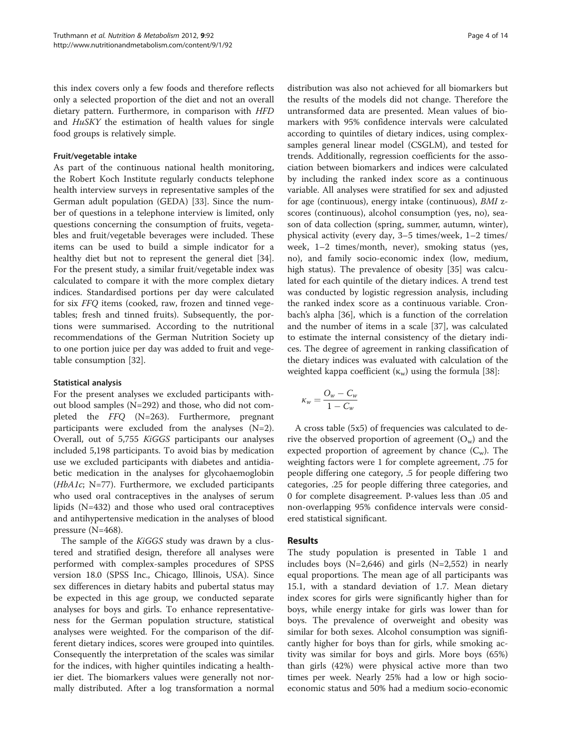this index covers only a few foods and therefore reflects only a selected proportion of the diet and not an overall dietary pattern. Furthermore, in comparison with HFD and HuSKY the estimation of health values for single food groups is relatively simple.

#### Fruit/vegetable intake

As part of the continuous national health monitoring, the Robert Koch Institute regularly conducts telephone health interview surveys in representative samples of the German adult population (GEDA) [[33](#page-13-0)]. Since the number of questions in a telephone interview is limited, only questions concerning the consumption of fruits, vegetables and fruit/vegetable beverages were included. These items can be used to build a simple indicator for a healthy diet but not to represent the general diet [\[34](#page-13-0)]. For the present study, a similar fruit/vegetable index was calculated to compare it with the more complex dietary indices. Standardised portions per day were calculated for six FFQ items (cooked, raw, frozen and tinned vegetables; fresh and tinned fruits). Subsequently, the portions were summarised. According to the nutritional recommendations of the German Nutrition Society up to one portion juice per day was added to fruit and vegetable consumption [\[32\]](#page-13-0).

#### Statistical analysis

For the present analyses we excluded participants without blood samples (N=292) and those, who did not completed the FFQ (N=263). Furthermore, pregnant participants were excluded from the analyses (N=2). Overall, out of 5,755 KiGGS participants our analyses included 5,198 participants. To avoid bias by medication use we excluded participants with diabetes and antidiabetic medication in the analyses for glycohaemoglobin (HbA1c; N=77). Furthermore, we excluded participants who used oral contraceptives in the analyses of serum lipids (N=432) and those who used oral contraceptives and antihypertensive medication in the analyses of blood pressure (N=468).

The sample of the KiGGS study was drawn by a clustered and stratified design, therefore all analyses were performed with complex-samples procedures of SPSS version 18.0 (SPSS Inc., Chicago, Illinois, USA). Since sex differences in dietary habits and pubertal status may be expected in this age group, we conducted separate analyses for boys and girls. To enhance representativeness for the German population structure, statistical analyses were weighted. For the comparison of the different dietary indices, scores were grouped into quintiles. Consequently the interpretation of the scales was similar for the indices, with higher quintiles indicating a healthier diet. The biomarkers values were generally not normally distributed. After a log transformation a normal

distribution was also not achieved for all biomarkers but the results of the models did not change. Therefore the untransformed data are presented. Mean values of biomarkers with 95% confidence intervals were calculated according to quintiles of dietary indices, using complexsamples general linear model (CSGLM), and tested for trends. Additionally, regression coefficients for the association between biomarkers and indices were calculated by including the ranked index score as a continuous variable. All analyses were stratified for sex and adjusted for age (continuous), energy intake (continuous), BMI zscores (continuous), alcohol consumption (yes, no), season of data collection (spring, summer, autumn, winter), physical activity (every day, 3–5 times/week, 1–2 times/ week, 1–2 times/month, never), smoking status (yes, no), and family socio-economic index (low, medium, high status). The prevalence of obesity [\[35\]](#page-13-0) was calculated for each quintile of the dietary indices. A trend test was conducted by logistic regression analysis, including the ranked index score as a continuous variable. Cronbach's alpha [[36](#page-13-0)], which is a function of the correlation and the number of items in a scale [[37\]](#page-13-0), was calculated to estimate the internal consistency of the dietary indices. The degree of agreement in ranking classification of the dietary indices was evaluated with calculation of the weighted kappa coefficient ( $\kappa_w$ ) using the formula [\[38](#page-13-0)]:

$$
\kappa_w = \frac{O_w - C_w}{1 - C_w}
$$

A cross table (5x5) of frequencies was calculated to derive the observed proportion of agreement  $(O_w)$  and the expected proportion of agreement by chance  $(C_w)$ . The weighting factors were 1 for complete agreement, .75 for people differing one category, .5 for people differing two categories, .25 for people differing three categories, and 0 for complete disagreement. P-values less than .05 and non-overlapping 95% confidence intervals were considered statistical significant.

## Results

The study population is presented in Table [1](#page-4-0) and includes boys  $(N=2,646)$  and girls  $(N=2,552)$  in nearly equal proportions. The mean age of all participants was 15.1, with a standard deviation of 1.7. Mean dietary index scores for girls were significantly higher than for boys, while energy intake for girls was lower than for boys. The prevalence of overweight and obesity was similar for both sexes. Alcohol consumption was significantly higher for boys than for girls, while smoking activity was similar for boys and girls. More boys (65%) than girls (42%) were physical active more than two times per week. Nearly 25% had a low or high socioeconomic status and 50% had a medium socio-economic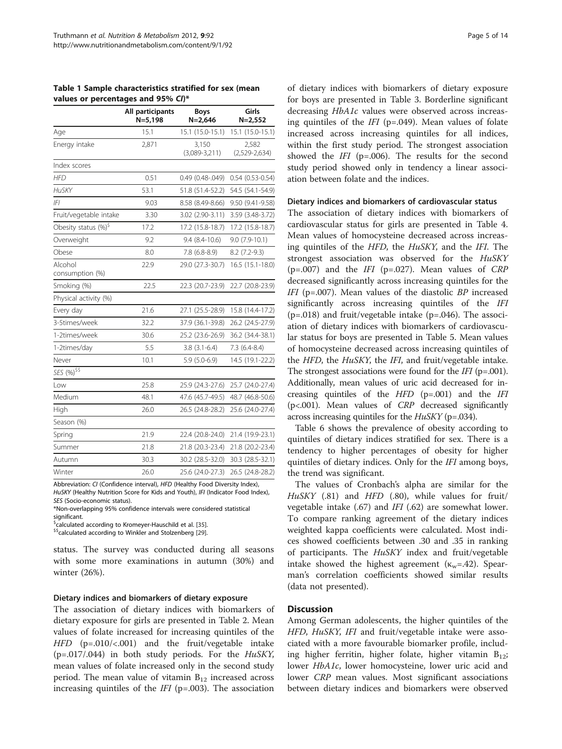|                                  | All participants<br>$N = 5,198$ | <b>Boys</b><br>$N = 2,646$ | Girls<br>$N = 2,552$     |
|----------------------------------|---------------------------------|----------------------------|--------------------------|
| Age                              | 15.1                            | 15.1 (15.0-15.1)           | 15.1 (15.0-15.1)         |
| Energy intake                    | 2,871                           | 3,150<br>$(3,089-3,211)$   | 2,582<br>$(2,529-2,634)$ |
| Index scores                     |                                 |                            |                          |
| <b>HFD</b>                       | 0.51                            | $0.49(0.48-0.49)$          | $0.54(0.53 - 0.54)$      |
| <b>HuSKY</b>                     | 53.1                            | 51.8 (51.4-52.2)           | 54.5 (54.1-54.9)         |
| IFI                              | 9.03                            | 8.58 (8.49-8.66)           | 9.50 (9.41-9.58)         |
| Fruit/vegetable intake           | 3.30                            | 3.02 (2.90-3.11)           | 3.59 (3.48-3.72)         |
| Obesity status (%) <sup>\$</sup> | 17.2                            | 17.2 (15.8-18.7)           | 17.2 (15.8-18.7)         |
| Overweight                       | 9.2                             | $9.4(8.4-10.6)$            | $9.0(7.9-10.1)$          |
| Obese                            | 8.0                             | 7.8 (6.8-8.9)              | $8.2$ (7.2-9.3)          |
| Alcohol<br>consumption (%)       | 22.9                            | 29.0 (27.3-30.7)           | 16.5 (15.1-18.0)         |
| Smoking (%)                      | 22.5                            | 22.3 (20.7-23.9)           | 22.7 (20.8-23.9)         |
| Physical activity (%)            |                                 |                            |                          |
| Every day                        | 21.6                            | 27.1 (25.5-28.9)           | 15.8 (14.4-17.2)         |
| 3-5times/week                    | 32.2                            | 37.9 (36.1-39.8)           | 26.2 (24.5-27.9)         |
| 1-2times/week                    | 30.6                            | 25.2 (23.6-26.9)           | 36.2 (34.4-38.1)         |
| 1-2times/day                     | 5.5                             | $3.8(3.1-6.4)$             | $7.3(6.4 - 8.4)$         |
| Never                            | 10.1                            | $5.9(5.0-6.9)$             | 14.5 (19.1-22.2)         |
| SES (%) <sup>\$\$</sup>          |                                 |                            |                          |
| Low                              | 25.8                            | 25.9 (24.3-27.6)           | 25.7 (24.0-27.4)         |
| Medium                           | 48.1                            | 47.6 (45.7-49.5)           | 48.7 (46.8-50.6)         |
| High                             | 26.0                            | 26.5 (24.8-28.2)           | 25.6 (24.0-27.4)         |
| Season (%)                       |                                 |                            |                          |
| Spring                           | 21.9                            | 22.4 (20.8-24.0)           | 21.4 (19.9-23.1)         |
| Summer                           | 21.8                            | 21.8 (20.3-23.4)           | 21.8 (20.2-23.4)         |
| Autumn                           | 30.3                            | 30.2 (28.5-32.0)           | 30.3 (28.5-32.1)         |
| Winter                           | 26.0                            | 25.6 (24.0-27.3)           | 26.5 (24.8-28.2)         |

<span id="page-4-0"></span>Table 1 Sample characteristics stratified for sex (mean values or percentages and 95% CI)\*

Abbreviation: CI (Confidence interval), HFD (Healthy Food Diversity Index), HuSKY (Healthy Nutrition Score for Kids and Youth), IFI (Indicator Food Index), SES (Socio-economic status).

\*Non-overlapping 95% confidence intervals were considered statistical significant.

 $\frac{1}{2}$ calculated according to Kromeyer-Hauschild et al. [35].

<sup>\$\$</sup>calculated according to Winkler and Stolzenberg [[29\]](#page-13-0).

status. The survey was conducted during all seasons with some more examinations in autumn (30%) and winter (26%).

#### Dietary indices and biomarkers of dietary exposure

The association of dietary indices with biomarkers of dietary exposure for girls are presented in Table [2](#page-5-0). Mean values of folate increased for increasing quintiles of the HFD (p=.010/<.001) and the fruit/vegetable intake (p=.017/.044) in both study periods. For the HuSKY, mean values of folate increased only in the second study period. The mean value of vitamin  $B_{12}$  increased across increasing quintiles of the  $IFI$  (p=.003). The association

of dietary indices with biomarkers of dietary exposure for boys are presented in Table [3](#page-6-0). Borderline significant decreasing HbA1c values were observed across increasing quintiles of the  $IFI$  (p=.049). Mean values of folate increased across increasing quintiles for all indices, within the first study period. The strongest association showed the  $IFI$  (p=.006). The results for the second study period showed only in tendency a linear association between folate and the indices.

#### Dietary indices and biomarkers of cardiovascular status

The association of dietary indices with biomarkers of cardiovascular status for girls are presented in Table [4](#page-7-0). Mean values of homocysteine decreased across increasing quintiles of the HFD, the HuSKY, and the IFI. The strongest association was observed for the HuSKY  $(p=.007)$  and the *IFI* ( $p=.027$ ). Mean values of *CRP* decreased significantly across increasing quintiles for the IFI ( $p=.007$ ). Mean values of the diastolic  $BP$  increased significantly across increasing quintiles of the IFI  $(p=.018)$  and fruit/vegetable intake  $(p=.046)$ . The association of dietary indices with biomarkers of cardiovascular status for boys are presented in Table [5.](#page-9-0) Mean values of homocysteine decreased across increasing quintiles of the HFD, the HuSKY, the IFI, and fruit/vegetable intake. The strongest associations were found for the *IFI* (p=.001). Additionally, mean values of uric acid decreased for increasing quintiles of the  $HFD$  (p=.001) and the IFI (p<.001). Mean values of CRP decreased significantly across increasing quintiles for the HuSKY (p=.034).

Table [6](#page-10-0) shows the prevalence of obesity according to quintiles of dietary indices stratified for sex. There is a tendency to higher percentages of obesity for higher quintiles of dietary indices. Only for the IFI among boys, the trend was significant.

The values of Cronbach's alpha are similar for the  $H \mu S KY$  (.81) and  $HFD$  (.80), while values for fruit/ vegetable intake  $(.67)$  and *IFI*  $(.62)$  are somewhat lower. To compare ranking agreement of the dietary indices weighted kappa coefficients were calculated. Most indices showed coefficients between .30 and .35 in ranking of participants. The HuSKY index and fruit/vegetable intake showed the highest agreement ( $\kappa_{w}$ =.42). Spearman's correlation coefficients showed similar results (data not presented).

## **Discussion**

Among German adolescents, the higher quintiles of the HFD, HuSKY, IFI and fruit/vegetable intake were associated with a more favourable biomarker profile, including higher ferritin, higher folate, higher vitamin  $B_{12}$ ; lower HbA1c, lower homocysteine, lower uric acid and lower CRP mean values. Most significant associations between dietary indices and biomarkers were observed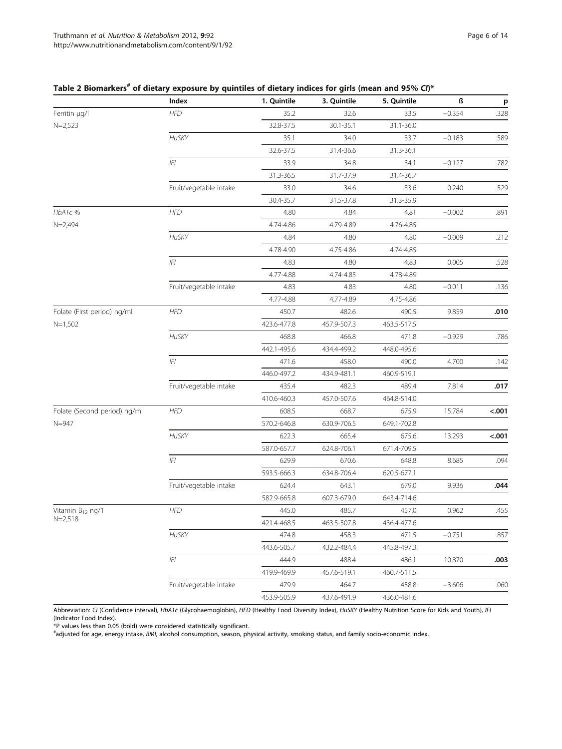|                              | Index                  | 1. Quintile | 3. Quintile | 5. Quintile | ß        | p      |
|------------------------------|------------------------|-------------|-------------|-------------|----------|--------|
| Ferritin µg/l                | <b>HFD</b>             | 35.2        | 32.6        | 33.5        | $-0.354$ | .328   |
| $N = 2,523$                  |                        | 32.8-37.5   | 30.1-35.1   | 31.1-36.0   |          |        |
|                              | HuSKY                  | 35.1        | 34.0        | 33.7        | $-0.183$ | .589   |
|                              |                        | 32.6-37.5   | 31.4-36.6   | 31.3-36.1   |          |        |
|                              | $ F $                  | 33.9        | 34.8        | 34.1        | $-0.127$ | .782   |
|                              |                        | 31.3-36.5   | 31.7-37.9   | 31.4-36.7   |          |        |
|                              | Fruit/vegetable intake | 33.0        | 34.6        | 33.6        | 0.240    | .529   |
|                              |                        | 30.4-35.7   | 31.5-37.8   | 31.3-35.9   |          |        |
| HbA1c %                      | <b>HFD</b>             | 4.80        | 4.84        | 4.81        | $-0.002$ | .891   |
| $N = 2,494$                  |                        | 4.74-4.86   | 4.79-4.89   | 4.76-4.85   |          |        |
|                              | <b>HuSKY</b>           | 4.84        | 4.80        | 4.80        | $-0.009$ | .212   |
|                              |                        | 4.78-4.90   | 4.75-4.86   | 4.74-4.85   |          |        |
|                              | F                      | 4.83        | 4.80        | 4.83        | 0.005    | .528   |
|                              |                        | 4.77-4.88   | 4.74-4.85   | 4.78-4.89   |          |        |
|                              | Fruit/vegetable intake | 4.83        | 4.83        | 4.80        | $-0.011$ | .136   |
|                              |                        | 4.77-4.88   | 4.77-4.89   | 4.75-4.86   |          |        |
| Folate (First period) ng/ml  | <b>HFD</b>             | 450.7       | 482.6       | 490.5       | 9.859    | .010   |
| $N=1,502$                    |                        | 423.6-477.8 | 457.9-507.3 | 463.5-517.5 |          |        |
|                              | <b>HuSKY</b>           | 468.8       | 466.8       | 471.8       | $-0.929$ | .786   |
|                              |                        | 442.1-495.6 | 434.4-499.2 | 448.0-495.6 |          |        |
|                              | IFI                    | 471.6       | 458.0       | 490.0       | 4.700    | .142   |
|                              |                        | 446.0-497.2 | 434.9-481.1 | 460.9-519.1 |          |        |
|                              | Fruit/vegetable intake | 435.4       | 482.3       | 489.4       | 7.814    | .017   |
|                              |                        | 410.6-460.3 | 457.0-507.6 | 464.8-514.0 |          |        |
| Folate (Second period) ng/ml | <b>HFD</b>             | 608.5       | 668.7       | 675.9       | 15.784   | < .001 |
| $N = 947$                    |                        | 570.2-646.8 | 630.9-706.5 | 649.1-702.8 |          |        |
|                              | <b>HuSKY</b>           | 622.3       | 665.4       | 675.6       | 13.293   | < .001 |
|                              |                        | 587.0-657.7 | 624.8-706.1 | 671.4-709.5 |          |        |
|                              | IFI                    | 629.9       | 670.6       | 648.8       | 8.685    | .094   |
|                              |                        | 593.5-666.3 | 634.8-706.4 | 620.5-677.1 |          |        |
|                              | Fruit/vegetable intake | 624.4       | 643.1       | 679.0       | 9.936    | .044   |
|                              |                        | 582.9-665.8 | 607.3-679.0 | 643.4-714.6 |          |        |
| Vitamin B <sub>12</sub> ng/1 | HFD                    | 445.0       | 485.7       | 457.0       | 0.962    | .455   |
| $N = 2,518$                  |                        | 421.4-468.5 | 463.5-507.8 | 436.4-477.6 |          |        |
|                              | HuSKY                  | 474.8       | 458.3       | 471.5       | $-0.751$ | .857   |
|                              |                        | 443.6-505.7 | 432.2-484.4 | 445.8-497.3 |          |        |
|                              | F                      | 444.9       | 488.4       | 486.1       | 10.870   | .003   |
|                              |                        | 419.9-469.9 | 457.6-519.1 | 460.7-511.5 |          |        |
|                              | Fruit/vegetable intake | 479.9       | 464.7       | 458.8       | $-3.606$ | .060   |
|                              |                        | 453.9-505.9 | 437.6-491.9 | 436.0-481.6 |          |        |

## <span id="page-5-0"></span>Table 2 Biomarkers<sup>#</sup> of dietary exposure by quintiles of dietary indices for girls (mean and 95% CI)\*

Abbreviation: CI (Confidence interval), HbA1c (Glycohaemoglobin), HFD (Healthy Food Diversity Index), HuSKY (Healthy Nutrition Score for Kids and Youth), IFI (Indicator Food Index).

\*P values less than 0.05 (bold) were considered statistically significant.

# adjusted for age, energy intake, BMI, alcohol consumption, season, physical activity, smoking status, and family socio-economic index.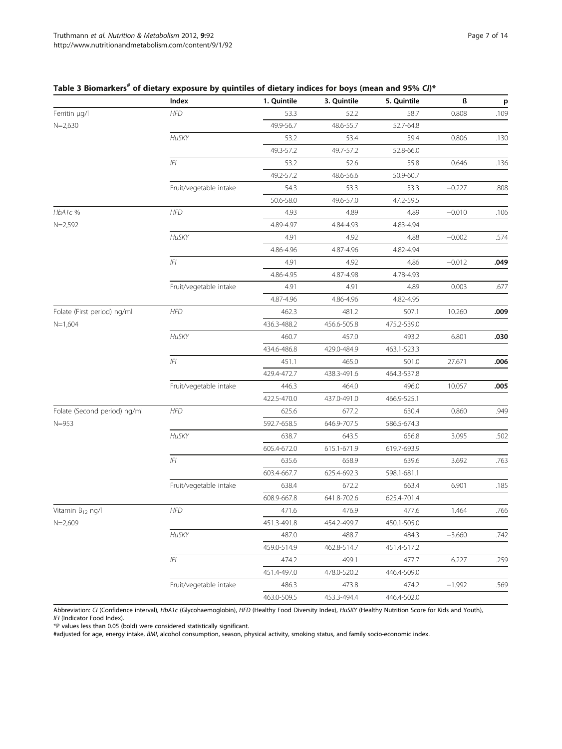|                              | Index                  | 1. Quintile | 3. Quintile | 5. Quintile | ß        | p    |
|------------------------------|------------------------|-------------|-------------|-------------|----------|------|
| Ferritin µg/l                | <b>HFD</b>             | 53.3        | 52.2        | 58.7        | 0.808    | .109 |
| $N = 2,630$                  |                        | 49.9-56.7   | 48.6-55.7   | 52.7-64.8   |          |      |
|                              | HuSKY                  | 53.2        | 53.4        | 59.4        | 0.806    | .130 |
|                              |                        | 49.3-57.2   | 49.7-57.2   | 52.8-66.0   |          |      |
|                              | F                      | 53.2        | 52.6        | 55.8        | 0.646    | .136 |
|                              |                        | 49.2-57.2   | 48.6-56.6   | 50.9-60.7   |          |      |
|                              | Fruit/vegetable intake | 54.3        | 53.3        | 53.3        | $-0.227$ | .808 |
|                              |                        | 50.6-58.0   | 49.6-57.0   | 47.2-59.5   |          |      |
| HbA1c %                      | <b>HFD</b>             | 4.93        | 4.89        | 4.89        | $-0.010$ | .106 |
| $N = 2,592$                  |                        | 4.89-4.97   | 4.84-4.93   | 4.83-4.94   |          |      |
|                              | HuSKY                  | 4.91        | 4.92        | 4.88        | $-0.002$ | .574 |
|                              |                        | 4.86-4.96   | 4.87-4.96   | 4.82-4.94   |          |      |
|                              | IFI                    | 4.91        | 4.92        | 4.86        | $-0.012$ | .049 |
|                              |                        | 4.86-4.95   | 4.87-4.98   | 4.78-4.93   |          |      |
|                              | Fruit/vegetable intake | 4.91        | 4.91        | 4.89        | 0.003    | .677 |
|                              |                        | 4.87-4.96   | 4.86-4.96   | 4.82-4.95   |          |      |
| Folate (First period) ng/ml  | <b>HFD</b>             | 462.3       | 481.2       | 507.1       | 10.260   | .009 |
| $N=1,604$                    |                        | 436.3-488.2 | 456.6-505.8 | 475.2-539.0 |          |      |
|                              | HuSKY                  | 460.7       | 457.0       | 493.2       | 6.801    | .030 |
|                              |                        | 434.6-486.8 | 429.0-484.9 | 463.1-523.3 |          |      |
|                              | $ F $                  | 451.1       | 465.0       | 501.0       | 27.671   | .006 |
|                              |                        | 429.4-472.7 | 438.3-491.6 | 464.3-537.8 |          |      |
|                              | Fruit/vegetable intake | 446.3       | 464.0       | 496.0       | 10.057   | .005 |
|                              |                        | 422.5-470.0 | 437.0-491.0 | 466.9-525.1 |          |      |
| Folate (Second period) ng/ml | <b>HFD</b>             | 625.6       | 677.2       | 630.4       | 0.860    | .949 |
| $N = 953$                    |                        | 592.7-658.5 | 646.9-707.5 | 586.5-674.3 |          |      |
|                              | HuSKY                  | 638.7       | 643.5       | 656.8       | 3.095    | .502 |
|                              |                        | 605.4-672.0 | 615.1-671.9 | 619.7-693.9 |          |      |
|                              | FI                     | 635.6       | 658.9       | 639.6       | 3.692    | .763 |
|                              |                        | 603.4-667.7 | 625.4-692.3 | 598.1-681.1 |          |      |
|                              | Fruit/vegetable intake | 638.4       | 672.2       | 663.4       | 6.901    | .185 |
|                              |                        | 608.9-667.8 | 641.8-702.6 | 625.4-701.4 |          |      |
| Vitamin B <sub>12</sub> ng/l | <b>HFD</b>             | 471.6       | 476.9       | 477.6       | 1.464    | .766 |
| $N = 2,609$                  |                        | 451.3-491.8 | 454.2-499.7 | 450.1-505.0 |          |      |
|                              | HuSKY                  | 487.0       | 488.7       | 484.3       | $-3.660$ | .742 |
|                              |                        | 459.0-514.9 | 462.8-514.7 | 451.4-517.2 |          |      |
|                              | F                      | 474.2       | 499.1       | 477.7       | 6.227    | .259 |
|                              |                        | 451.4-497.0 | 478.0-520.2 | 446.4-509.0 |          |      |
|                              | Fruit/vegetable intake | 486.3       | 473.8       | 474.2       | $-1.992$ | .569 |
|                              |                        | 463.0-509.5 | 453.3-494.4 | 446.4-502.0 |          |      |
|                              |                        |             |             |             |          |      |

## <span id="page-6-0"></span>Table 3 Biomarkers<sup>#</sup> of dietary exposure by quintiles of dietary indices for boys (mean and 95% CI)\*

Abbreviation: CI (Confidence interval), HbA1c (Glycohaemoglobin), HFD (Healthy Food Diversity Index), HuSKY (Healthy Nutrition Score for Kids and Youth), IFI (Indicator Food Index).

\*P values less than 0.05 (bold) were considered statistically significant.

#adjusted for age, energy intake, BMI, alcohol consumption, season, physical activity, smoking status, and family socio-economic index.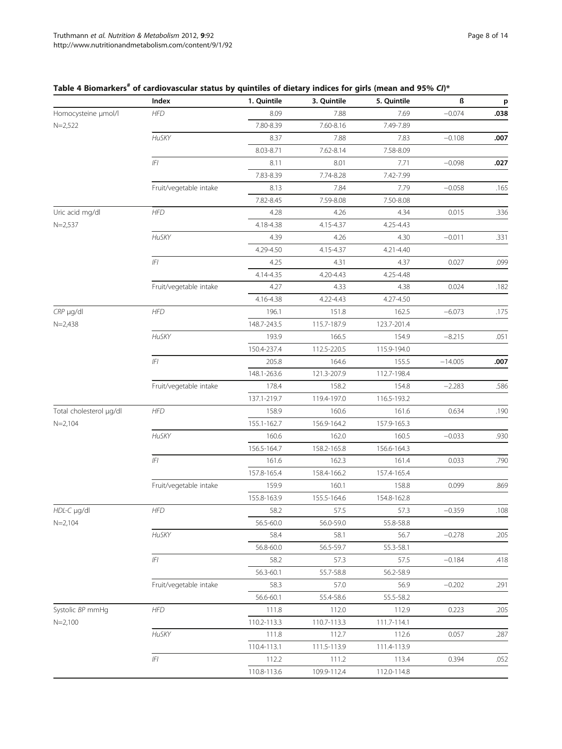|                         | Index                  | 1. Quintile       | 3. Quintile | 5. Quintile | ß         |      |
|-------------------------|------------------------|-------------------|-------------|-------------|-----------|------|
|                         | <b>HFD</b>             |                   |             |             |           | p    |
| Homocysteine µmol/l     |                        | 8.09<br>7.80-8.39 | 7.88        | 7.69        | $-0.074$  | .038 |
| $N = 2,522$             |                        |                   | 7.60-8.16   | 7.49-7.89   |           |      |
|                         | <b>HuSKY</b>           | 8.37<br>8.03-8.71 | 7.88        | 7.83        | $-0.108$  | .007 |
|                         |                        |                   | 7.62-8.14   | 7.58-8.09   |           |      |
|                         | $ F $                  | 8.11              | 8.01        | 7.71        | $-0.098$  | .027 |
|                         |                        | 7.83-8.39         | 7.74-8.28   | 7.42-7.99   |           |      |
|                         | Fruit/vegetable intake | 8.13              | 7.84        | 7.79        | $-0.058$  | .165 |
|                         |                        | 7.82-8.45         | 7.59-8.08   | 7.50-8.08   |           |      |
| Uric acid mg/dl         | <b>HFD</b>             | 4.28              | 4.26        | 4.34        | 0.015     | .336 |
| $N = 2,537$             |                        | 4.18-4.38         | 4.15-4.37   | 4.25-4.43   |           |      |
|                         | <b>HuSKY</b>           | 4.39              | 4.26        | 4.30        | $-0.011$  | .331 |
|                         |                        | 4.29-4.50         | 4.15-4.37   | 4.21-4.40   |           |      |
|                         | IFI                    | 4.25              | 4.31        | 4.37        | 0.027     | .099 |
|                         |                        | 4.14-4.35         | 4.20-4.43   | 4.25-4.48   |           |      |
|                         | Fruit/vegetable intake | 4.27              | 4.33        | 4.38        | 0.024     | .182 |
|                         |                        | 4.16-4.38         | 4.22-4.43   | 4.27-4.50   |           |      |
| CRP µg/dl               | <b>HFD</b>             | 196.1             | 151.8       | 162.5       | $-6.073$  | .175 |
| $N = 2,438$             |                        | 148.7-243.5       | 115.7-187.9 | 123.7-201.4 |           |      |
|                         | HuSKY                  | 193.9             | 166.5       | 154.9       | $-8.215$  | .051 |
|                         |                        | 150.4-237.4       | 112.5-220.5 | 115.9-194.0 |           |      |
|                         | IFI                    | 205.8             | 164.6       | 155.5       | $-14.005$ | .007 |
|                         |                        | 148.1-263.6       | 121.3-207.9 | 112.7-198.4 |           |      |
|                         | Fruit/vegetable intake | 178.4             | 158.2       | 154.8       | $-2.283$  | .586 |
|                         |                        | 137.1-219.7       | 119.4-197.0 | 116.5-193.2 |           |      |
| Total cholesterol µg/dl | <b>HFD</b>             | 158.9             | 160.6       | 161.6       | 0.634     | .190 |
| $N = 2,104$             |                        | 155.1-162.7       | 156.9-164.2 | 157.9-165.3 |           |      |
|                         | HuSKY                  | 160.6             | 162.0       | 160.5       | $-0.033$  | .930 |
|                         |                        | 156.5-164.7       | 158.2-165.8 | 156.6-164.3 |           |      |
|                         | IFI                    | 161.6             | 162.3       | 161.4       | 0.033     | .790 |
|                         |                        | 157.8-165.4       | 158.4-166.2 | 157.4-165.4 |           |      |
|                         | Fruit/vegetable intake | 159.9             | 160.1       | 158.8       | 0.099     | .869 |
|                         |                        | 155.8-163.9       | 155.5-164.6 | 154.8-162.8 |           |      |
| HDL-C µg/dl             | <b>HFD</b>             | 58.2              | 57.5        | 57.3        | $-0.359$  | .108 |
| $N = 2,104$             |                        | 56.5-60.0         | 56.0-59.0   | 55.8-58.8   |           |      |
|                         | HuSKY                  | 58.4              | 58.1        | 56.7        | $-0.278$  | .205 |
|                         |                        |                   |             |             |           |      |
|                         |                        | 56.8-60.0         | 56.5-59.7   | 55.3-58.1   |           |      |
|                         | IFI                    | 58.2              | 57.3        | 57.5        | $-0.184$  | .418 |
|                         |                        | 56.3-60.1         | 55.7-58.8   | 56.2-58.9   |           |      |
|                         | Fruit/vegetable intake | 58.3              | 57.0        | 56.9        | $-0.202$  | .291 |
|                         |                        | 56.6-60.1         | 55.4-58.6   | 55.5-58.2   |           |      |
| Systolic BP mmHg        | <b>HFD</b>             | 111.8             | 112.0       | 112.9       | 0.223     | .205 |
| $N = 2,100$             |                        | 110.2-113.3       | 110.7-113.3 | 111.7-114.1 |           |      |
|                         | HuSKY                  | 111.8             | 112.7       | 112.6       | 0.057     | .287 |
|                         |                        | 110.4-113.1       | 111.5-113.9 | 111.4-113.9 |           |      |
|                         | $ F $                  | 112.2             | 111.2       | 113.4       | 0.394     | .052 |
|                         |                        | 110.8-113.6       | 109.9-112.4 | 112.0-114.8 |           |      |

## <span id="page-7-0"></span>Table 4 Biomarkers<sup>#</sup> of cardiovascular status by quintiles of dietary indices for girls (mean and 95% CI)\*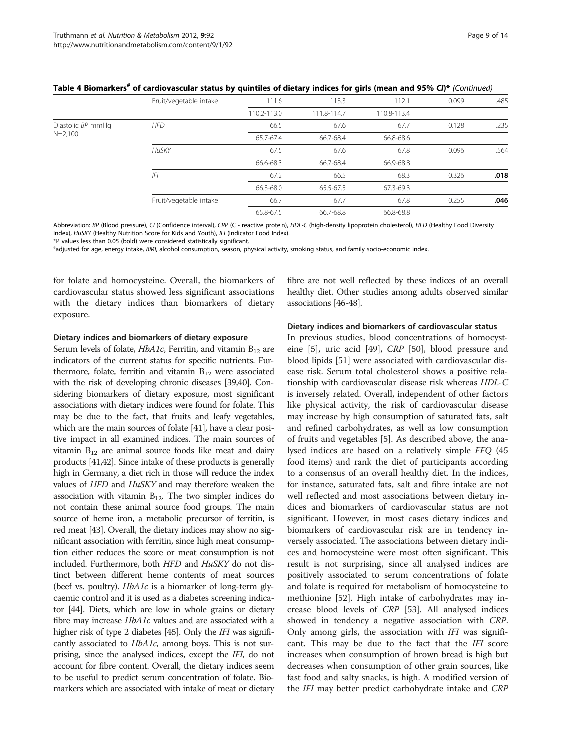| Page 9 |
|--------|
|--------|

|                                  | Fruit/vegetable intake | 111.6       | 113.3       | 112.1       | 0.099 | .485 |
|----------------------------------|------------------------|-------------|-------------|-------------|-------|------|
|                                  |                        | 110.2-113.0 | 111.8-114.7 | 110.8-113.4 |       |      |
| Diastolic BP mmHq<br>$N = 2,100$ | <b>HFD</b>             | 66.5        | 67.6        | 67.7        | 0.128 | .235 |
|                                  |                        | 65.7-67.4   | 66.7-68.4   | 66.8-68.6   |       |      |
|                                  | HuSKY                  | 67.5        | 67.6        | 67.8        | 0.096 | .564 |
|                                  |                        | 66.6-68.3   | 66.7-68.4   | 66.9-68.8   |       |      |
|                                  | F                      | 67.2        | 66.5        | 68.3        | 0.326 | .018 |
|                                  |                        | 66.3-68.0   | 65.5-67.5   | 67.3-69.3   |       |      |
|                                  | Fruit/vegetable intake | 66.7        | 67.7        | 67.8        | 0.255 | .046 |
|                                  |                        | 65.8-67.5   | 66.7-68.8   | 66.8-68.8   |       |      |

Table 4 Biomarkers<sup>#</sup> of cardiovascular status by quintiles of dietary indices for girls (mean and 95% CI)\* (Continued)

Abbreviation: BP (Blood pressure), CI (Confidence interval), CRP (C - reactive protein), HDL-C (high-density lipoprotein cholesterol), HFD (Healthy Food Diversity Index), HuSKY (Healthy Nutrition Score for Kids and Youth), IFI (Indicator Food Index).

\*P values less than 0.05 (bold) were considered statistically significant.

# adjusted for age, energy intake, BMI, alcohol consumption, season, physical activity, smoking status, and family socio-economic index.

for folate and homocysteine. Overall, the biomarkers of cardiovascular status showed less significant associations with the dietary indices than biomarkers of dietary exposure.

Dietary indices and biomarkers of dietary exposure

Serum levels of folate, *HbA1c*, Ferritin, and vitamin  $B_{12}$  are indicators of the current status for specific nutrients. Furthermore, folate, ferritin and vitamin  $B_{12}$  were associated with the risk of developing chronic diseases [[39,40\]](#page-13-0). Considering biomarkers of dietary exposure, most significant associations with dietary indices were found for folate. This may be due to the fact, that fruits and leafy vegetables, which are the main sources of folate [\[41](#page-13-0)], have a clear positive impact in all examined indices. The main sources of vitamin  $B_{12}$  are animal source foods like meat and dairy products [\[41,42\]](#page-13-0). Since intake of these products is generally high in Germany, a diet rich in those will reduce the index values of HFD and HuSKY and may therefore weaken the association with vitamin  $B_{12}$ . The two simpler indices do not contain these animal source food groups. The main source of heme iron, a metabolic precursor of ferritin, is red meat [\[43\]](#page-13-0). Overall, the dietary indices may show no significant association with ferritin, since high meat consumption either reduces the score or meat consumption is not included. Furthermore, both HFD and HuSKY do not distinct between different heme contents of meat sources (beef vs. poultry). HbA1c is a biomarker of long-term glycaemic control and it is used as a diabetes screening indicator [\[44\]](#page-13-0). Diets, which are low in whole grains or dietary fibre may increase *HbA1c* values and are associated with a higher risk of type 2 diabetes [\[45\]](#page-13-0). Only the *IFI* was significantly associated to *HbA1c*, among boys. This is not surprising, since the analysed indices, except the IFI, do not account for fibre content. Overall, the dietary indices seem to be useful to predict serum concentration of folate. Biomarkers which are associated with intake of meat or dietary fibre are not well reflected by these indices of an overall healthy diet. Other studies among adults observed similar associations [[46](#page-13-0)-[48](#page-13-0)].

#### Dietary indices and biomarkers of cardiovascular status

In previous studies, blood concentrations of homocysteine [[5\]](#page-12-0), uric acid [\[49](#page-13-0)], CRP [\[50\]](#page-13-0), blood pressure and blood lipids [[51\]](#page-13-0) were associated with cardiovascular disease risk. Serum total cholesterol shows a positive relationship with cardiovascular disease risk whereas HDL-C is inversely related. Overall, independent of other factors like physical activity, the risk of cardiovascular disease may increase by high consumption of saturated fats, salt and refined carbohydrates, as well as low consumption of fruits and vegetables [\[5](#page-12-0)]. As described above, the analysed indices are based on a relatively simple FFQ (45 food items) and rank the diet of participants according to a consensus of an overall healthy diet. In the indices, for instance, saturated fats, salt and fibre intake are not well reflected and most associations between dietary indices and biomarkers of cardiovascular status are not significant. However, in most cases dietary indices and biomarkers of cardiovascular risk are in tendency inversely associated. The associations between dietary indices and homocysteine were most often significant. This result is not surprising, since all analysed indices are positively associated to serum concentrations of folate and folate is required for metabolism of homocysteine to methionine [[52\]](#page-13-0). High intake of carbohydrates may increase blood levels of CRP [[53\]](#page-13-0). All analysed indices showed in tendency a negative association with CRP. Only among girls, the association with IFI was significant. This may be due to the fact that the IFI score increases when consumption of brown bread is high but decreases when consumption of other grain sources, like fast food and salty snacks, is high. A modified version of the IFI may better predict carbohydrate intake and CRP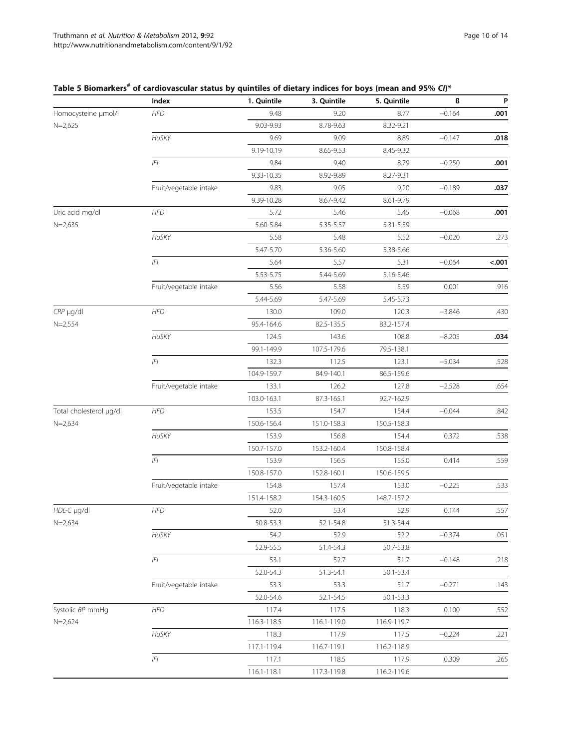|                         | Index                  | 1. Quintile       | 3. Quintile | 5. Quintile | ß        | P      |
|-------------------------|------------------------|-------------------|-------------|-------------|----------|--------|
| Homocysteine µmol/l     | <b>HFD</b>             | 9.48              | 9.20        | 8.77        | $-0.164$ | .001   |
| $N = 2,625$             |                        | 9.03-9.93         | 8.78-9.63   | 8.32-9.21   |          |        |
|                         | HuSKY                  | 9.69              | 9.09        | 8.89        | $-0.147$ | .018   |
|                         |                        | 9.19-10.19        | 8.65-9.53   | 8.45-9.32   |          |        |
|                         | F                      | 9.84              | 9.40        | 8.79        | $-0.250$ | .001   |
|                         |                        | 9.33-10.35        | 8.92-9.89   | 8.27-9.31   |          |        |
|                         | Fruit/vegetable intake | 9.83              | 9.05        | 9.20        | $-0.189$ | .037   |
|                         |                        | 9.39-10.28        | 8.67-9.42   | 8.61-9.79   |          |        |
| Uric acid mg/dl         | HFD                    | 5.72              | 5.46        | 5.45        | $-0.068$ | .001   |
| $N = 2,635$             |                        | 5.60-5.84         | 5.35-5.57   | 5.31-5.59   |          |        |
|                         | HuSKY                  | 5.58              | 5.48        | 5.52        | $-0.020$ | .273   |
|                         |                        | 5.47-5.70         | 5.36-5.60   | 5.38-5.66   |          |        |
|                         | $ F $                  | 5.64              | 5.57        | 5.31        | $-0.064$ | < .001 |
|                         |                        | 5.53-5.75         | 5.44-5.69   | 5.16-5.46   |          |        |
|                         | Fruit/vegetable intake | 5.56              | 5.58        | 5.59        | 0.001    | .916   |
|                         |                        | 5.44-5.69         | 5.47-5.69   | 5.45-5.73   |          |        |
| CRP µg/dl               | <b>HFD</b>             | 130.0             | 109.0       | 120.3       | $-3.846$ | .430   |
| $N = 2,554$             |                        | 95.4-164.6        | 82.5-135.5  | 83.2-157.4  |          |        |
|                         | HuSKY                  | 124.5             | 143.6       | 108.8       | $-8.205$ | .034   |
|                         |                        | 99.1-149.9        | 107.5-179.6 | 79.5-138.1  |          |        |
|                         | F                      | 132.3             | 112.5       | 123.1       | $-5.034$ | .528   |
|                         |                        | 104.9-159.7       | 84.9-140.1  | 86.5-159.6  |          |        |
|                         | Fruit/vegetable intake | 133.1             | 126.2       | 127.8       | $-2.528$ | .654   |
|                         |                        | 103.0-163.1       | 87.3-165.1  | 92.7-162.9  |          |        |
| Total cholesterol µg/dl | <b>HFD</b>             | 153.5             | 154.7       | 154.4       | $-0.044$ | .842   |
| $N = 2,634$             |                        | 150.6-156.4       | 151.0-158.3 | 150.5-158.3 |          |        |
|                         | <b>HuSKY</b>           | 153.9             | 156.8       | 154.4       | 0.372    | .538   |
|                         |                        | 150.7-157.0       | 153.2-160.4 | 150.8-158.4 |          |        |
|                         | $ F $                  | 153.9             | 156.5       | 155.0       | 0.414    | .559   |
|                         |                        | 150.8-157.0       | 152.8-160.1 | 150.6-159.5 |          |        |
|                         | Fruit/vegetable intake | 154.8             | 157.4       | 153.0       | $-0.225$ | .533   |
|                         |                        | 151.4-158.2       | 154.3-160.5 | 148.7-157.2 |          |        |
|                         | <b>HFD</b>             |                   |             |             | 0.144    |        |
| HDL-C µg/dl             |                        | 52.0<br>50.8-53.3 | 53.4        | 52.9        |          | .557   |
| $N = 2,634$             | HuSKY                  | 54.2              | 52.1-54.8   | 51.3-54.4   | $-0.374$ | .051   |
|                         |                        |                   | 52.9        | 52.2        |          |        |
|                         |                        | 52.9-55.5         | 51.4-54.3   | 50.7-53.8   |          |        |
|                         | $ F $                  | 53.1              | 52.7        | 51.7        | $-0.148$ | .218   |
|                         |                        | 52.0-54.3         | 51.3-54.1   | 50.1-53.4   |          |        |
|                         | Fruit/vegetable intake | 53.3              | 53.3        | 51.7        | $-0.271$ | .143   |
|                         |                        | 52.0-54.6         | 52.1-54.5   | 50.1-53.3   |          |        |
| Systolic BP mmHg        | <b>HFD</b>             | 117.4             | 117.5       | 118.3       | 0.100    | .552   |
| $N = 2,624$             |                        | 116.3-118.5       | 116.1-119.0 | 116.9-119.7 |          |        |
|                         | HuSKY                  | 118.3             | 117.9       | 117.5       | $-0.224$ | .221   |
|                         |                        | 117.1-119.4       | 116.7-119.1 | 116.2-118.9 |          |        |
|                         | $ F $                  | 117.1             | 118.5       | 117.9       | 0.309    | .265   |
|                         |                        | 116.1-118.1       | 117.3-119.8 | 116.2-119.6 |          |        |

## <span id="page-9-0"></span>Table 5 Biomarkers<sup>#</sup> of cardiovascular status by quintiles of dietary indices for boys (mean and 95% CI)\*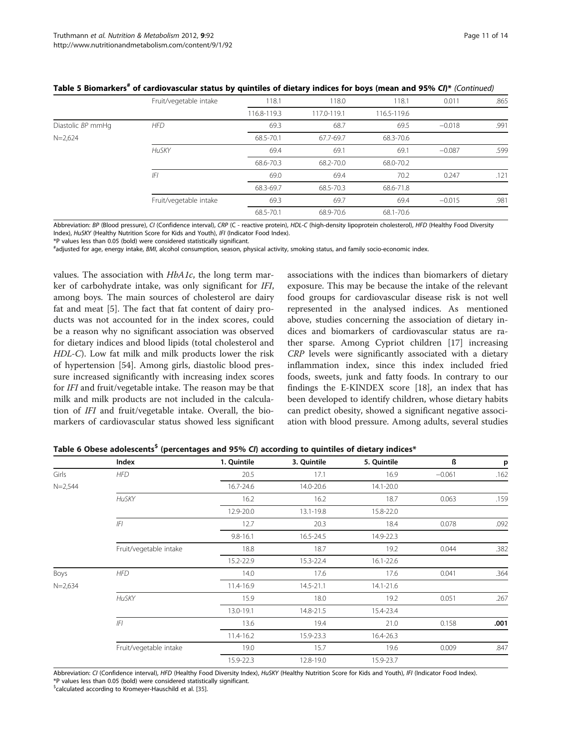|                   | Fruit/vegetable intake | 118.1       | 118.0       | 118.1       | 0.011    | .865 |
|-------------------|------------------------|-------------|-------------|-------------|----------|------|
|                   |                        | 116.8-119.3 | 117.0-119.1 | 116.5-119.6 |          |      |
| Diastolic BP mmHq | <b>HFD</b>             | 69.3        | 68.7        | 69.5        | $-0.018$ | .991 |
| $N = 2,624$       |                        | 68.5-70.1   | 67.7-69.7   | 68.3-70.6   |          |      |
|                   | HuSKY                  | 69.4        | 69.1        | 69.1        | $-0.087$ | .599 |
|                   |                        | 68.6-70.3   | 68.2-70.0   | 68.0-70.2   |          |      |
|                   | IFI                    | 69.0        | 69.4        | 70.2        | 0.247    | .121 |
|                   |                        | 68.3-69.7   | 68.5-70.3   | 68.6-71.8   |          |      |
|                   | Fruit/vegetable intake | 69.3        | 69.7        | 69.4        | $-0.015$ | .981 |
|                   |                        | 68.5-70.1   | 68.9-70.6   | 68.1-70.6   |          |      |

<span id="page-10-0"></span>

|  |  |  |  |  | Table 5 Biomarkers <sup>#</sup> of cardiovascular status by quintiles of dietary indices for boys (mean and 95% CI)* (Continued) |
|--|--|--|--|--|----------------------------------------------------------------------------------------------------------------------------------|
|--|--|--|--|--|----------------------------------------------------------------------------------------------------------------------------------|

Abbreviation: BP (Blood pressure), CI (Confidence interval), CRP (C - reactive protein), HDL-C (high-density lipoprotein cholesterol), HFD (Healthy Food Diversity Index), HuSKY (Healthy Nutrition Score for Kids and Youth), IFI (Indicator Food Index).

\*P values less than 0.05 (bold) were considered statistically significant.

# adjusted for age, energy intake, BMI, alcohol consumption, season, physical activity, smoking status, and family socio-economic index.

values. The association with HbA1c, the long term marker of carbohydrate intake, was only significant for IFI, among boys. The main sources of cholesterol are dairy fat and meat [[5](#page-12-0)]. The fact that fat content of dairy products was not accounted for in the index scores, could be a reason why no significant association was observed for dietary indices and blood lipids (total cholesterol and HDL-C). Low fat milk and milk products lower the risk of hypertension [[54\]](#page-13-0). Among girls, diastolic blood pressure increased significantly with increasing index scores for IFI and fruit/vegetable intake. The reason may be that milk and milk products are not included in the calculation of IFI and fruit/vegetable intake. Overall, the biomarkers of cardiovascular status showed less significant

associations with the indices than biomarkers of dietary exposure. This may be because the intake of the relevant food groups for cardiovascular disease risk is not well represented in the analysed indices. As mentioned above, studies concerning the association of dietary indices and biomarkers of cardiovascular status are rather sparse. Among Cypriot children [[17\]](#page-12-0) increasing CRP levels were significantly associated with a dietary inflammation index, since this index included fried foods, sweets, junk and fatty foods. In contrary to our findings the E-KINDEX score [[18\]](#page-12-0), an index that has been developed to identify children, whose dietary habits can predict obesity, showed a significant negative association with blood pressure. Among adults, several studies

|             | Index                  | 1. Quintile  | 3. Quintile | 5. Quintile | ß        | p    |
|-------------|------------------------|--------------|-------------|-------------|----------|------|
| Girls       | <b>HFD</b>             | 20.5         | 17.1        | 16.9        | $-0.061$ | .162 |
| $N = 2,544$ |                        | 16.7-24.6    | 14.0-20.6   | 14.1-20.0   |          |      |
|             | HuSKY                  | 16.2         | 16.2        | 18.7        | 0.063    | .159 |
|             |                        | 12.9-20.0    | 13.1-19.8   | 15.8-22.0   |          |      |
|             | IFI                    | 12.7         | 20.3        | 18.4        | 0.078    | .092 |
|             |                        | $9.8 - 16.1$ | 16.5-24.5   | 14.9-22.3   |          |      |
|             | Fruit/vegetable intake | 18.8         | 18.7        | 19.2        | 0.044    | .382 |
|             |                        | 15.2-22.9    | 15.3-22.4   | 16.1-22.6   |          |      |
| Boys        | <b>HFD</b>             | 14.0         | 17.6        | 17.6        | 0.041    | .364 |
| $N = 2,634$ |                        | 11.4-16.9    | 14.5-21.1   | 14.1-21.6   |          |      |
|             | HuSKY                  | 15.9         | 18.0        | 19.2        | 0.051    | .267 |
|             |                        | 13.0-19.1    | 14.8-21.5   | 15.4-23.4   |          |      |
|             | IFI                    | 13.6         | 19.4        | 21.0        | 0.158    | .001 |
|             |                        | 11.4-16.2    | 15.9-23.3   | 16.4-26.3   |          |      |
|             | Fruit/vegetable intake | 19.0         | 15.7        | 19.6        | 0.009    | .847 |
|             |                        | 15.9-22.3    | 12.8-19.0   | 15.9-23.7   |          |      |

Table 6 Obese adolescents<sup>5</sup> (percentages and 95% CI) according to quintiles of dietary indices\*

Abbreviation: CI (Confidence interval), HFD (Healthy Food Diversity Index), HuSKY (Healthy Nutrition Score for Kids and Youth), IFI (Indicator Food Index). \*P values less than 0.05 (bold) were considered statistically significant.

<sup>\$</sup>calculated according to Kromeyer-Hauschild et al. [[35](#page-13-0)].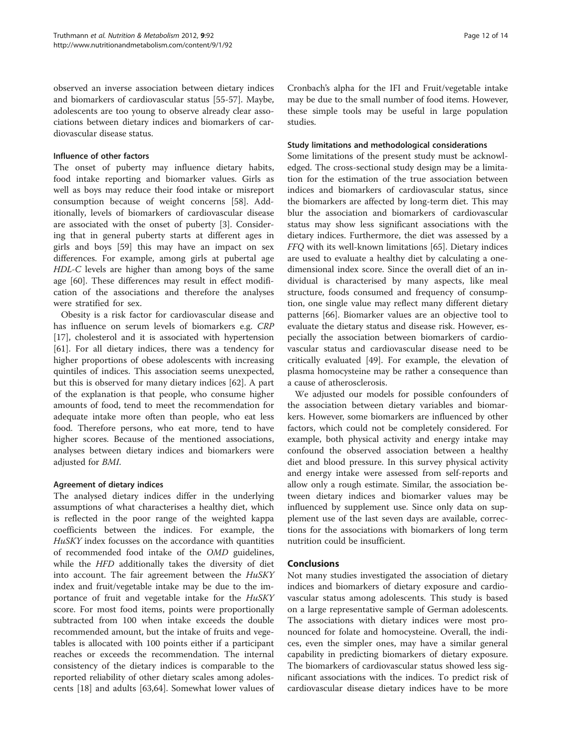observed an inverse association between dietary indices and biomarkers of cardiovascular status [[55-57](#page-13-0)]. Maybe, adolescents are too young to observe already clear associations between dietary indices and biomarkers of cardiovascular disease status.

## Influence of other factors

The onset of puberty may influence dietary habits, food intake reporting and biomarker values. Girls as well as boys may reduce their food intake or misreport consumption because of weight concerns [\[58\]](#page-13-0). Additionally, levels of biomarkers of cardiovascular disease are associated with the onset of puberty [[3\]](#page-12-0). Considering that in general puberty starts at different ages in girls and boys [\[59](#page-13-0)] this may have an impact on sex differences. For example, among girls at pubertal age HDL-C levels are higher than among boys of the same age [[60](#page-13-0)]. These differences may result in effect modification of the associations and therefore the analyses were stratified for sex.

Obesity is a risk factor for cardiovascular disease and has influence on serum levels of biomarkers e.g. CRP [[17\]](#page-12-0), cholesterol and it is associated with hypertension [[61\]](#page-13-0). For all dietary indices, there was a tendency for higher proportions of obese adolescents with increasing quintiles of indices. This association seems unexpected, but this is observed for many dietary indices [[62\]](#page-13-0). A part of the explanation is that people, who consume higher amounts of food, tend to meet the recommendation for adequate intake more often than people, who eat less food. Therefore persons, who eat more, tend to have higher scores. Because of the mentioned associations, analyses between dietary indices and biomarkers were adjusted for BMI.

## Agreement of dietary indices

The analysed dietary indices differ in the underlying assumptions of what characterises a healthy diet, which is reflected in the poor range of the weighted kappa coefficients between the indices. For example, the HuSKY index focusses on the accordance with quantities of recommended food intake of the OMD guidelines, while the HFD additionally takes the diversity of diet into account. The fair agreement between the *HuSKY* index and fruit/vegetable intake may be due to the importance of fruit and vegetable intake for the HuSKY score. For most food items, points were proportionally subtracted from 100 when intake exceeds the double recommended amount, but the intake of fruits and vegetables is allocated with 100 points either if a participant reaches or exceeds the recommendation. The internal consistency of the dietary indices is comparable to the reported reliability of other dietary scales among adolescents [[18\]](#page-12-0) and adults [\[63,64\]](#page-13-0). Somewhat lower values of

Cronbach's alpha for the IFI and Fruit/vegetable intake may be due to the small number of food items. However, these simple tools may be useful in large population studies.

#### Study limitations and methodological considerations

Some limitations of the present study must be acknowledged. The cross-sectional study design may be a limitation for the estimation of the true association between indices and biomarkers of cardiovascular status, since the biomarkers are affected by long-term diet. This may blur the association and biomarkers of cardiovascular status may show less significant associations with the dietary indices. Furthermore, the diet was assessed by a FFQ with its well-known limitations [\[65](#page-13-0)]. Dietary indices are used to evaluate a healthy diet by calculating a onedimensional index score. Since the overall diet of an individual is characterised by many aspects, like meal structure, foods consumed and frequency of consumption, one single value may reflect many different dietary patterns [\[66\]](#page-13-0). Biomarker values are an objective tool to evaluate the dietary status and disease risk. However, especially the association between biomarkers of cardiovascular status and cardiovascular disease need to be critically evaluated [[49\]](#page-13-0). For example, the elevation of plasma homocysteine may be rather a consequence than a cause of atherosclerosis.

We adjusted our models for possible confounders of the association between dietary variables and biomarkers. However, some biomarkers are influenced by other factors, which could not be completely considered. For example, both physical activity and energy intake may confound the observed association between a healthy diet and blood pressure. In this survey physical activity and energy intake were assessed from self-reports and allow only a rough estimate. Similar, the association between dietary indices and biomarker values may be influenced by supplement use. Since only data on supplement use of the last seven days are available, corrections for the associations with biomarkers of long term nutrition could be insufficient.

## **Conclusions**

Not many studies investigated the association of dietary indices and biomarkers of dietary exposure and cardiovascular status among adolescents. This study is based on a large representative sample of German adolescents. The associations with dietary indices were most pronounced for folate and homocysteine. Overall, the indices, even the simpler ones, may have a similar general capability in predicting biomarkers of dietary exposure. The biomarkers of cardiovascular status showed less significant associations with the indices. To predict risk of cardiovascular disease dietary indices have to be more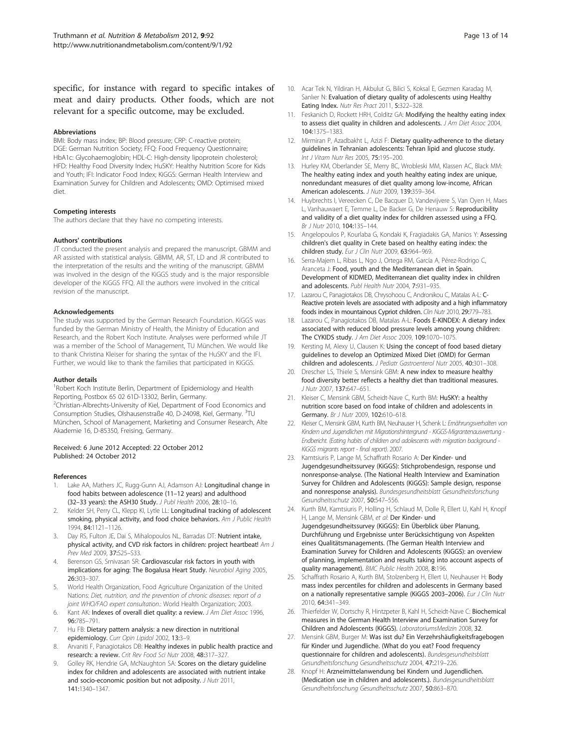<span id="page-12-0"></span>specific, for instance with regard to specific intakes of meat and dairy products. Other foods, which are not relevant for a specific outcome, may be excluded.

#### Abbreviations

BMI: Body mass index; BP: Blood pressure; CRP: C-reactive protein; DGE: German Nutrition Society; FFQ: Food Frequency Questionnaire; HbA1c: Glycohaemoglobin; HDL-C: High-density lipoprotein cholesterol; HFD: Healthy Food Diversity Index; HuSKY: Healthy Nutrition Score for Kids and Youth; IFI: Indicator Food Index; KiGGS: German Health Interview and Examination Survey for Children and Adolescents; OMD: Optimised mixed diet.

#### Competing interests

The authors declare that they have no competing interests.

#### Authors' contributions

JT conducted the present analysis and prepared the manuscript. GBMM and AR assisted with statistical analysis. GBMM, AR, ST, LD and JR contributed to the interpretation of the results and the writing of the manuscript. GBMM was involved in the design of the KiGGS study and is the major responsible developer of the KiGGS FFQ. All the authors were involved in the critical revision of the manuscript.

#### Acknowledgements

The study was supported by the German Research Foundation. KiGGS was funded by the German Ministry of Health, the Ministry of Education and Research, and the Robert Koch Institute. Analyses were performed while JT was a member of the School of Management, TU München. We would like to thank Christina Kleiser for sharing the syntax of the HuSKY and the IFI. Further, we would like to thank the families that participated in KiGGS.

#### Author details

<sup>1</sup> Robert Koch Institute Berlin, Department of Epidemiology and Health Reporting, Postbox 65 02 61D-13302, Berlin, Germany. <sup>2</sup>Christian-Albrechts-University of Kiel, Department of Food Economics and Consumption Studies, Olshausenstraße 40, D-24098, Kiel, Germany. <sup>3</sup>TU München, School of Management, Marketing and Consumer Research, Alte

#### Received: 6 June 2012 Accepted: 22 October 2012 Published: 24 October 2012

Akademie 16, D-85350, Freising, Germany.

#### References

- 1. Lake AA, Mathers JC, Rugg-Gunn AJ, Adamson AJ: Longitudinal change in food habits between adolescence (11–12 years) and adulthood (32–33 years): the ASH30 Study. J Publ Health 2006, 28:10–16.
- 2. Kelder SH, Perry CL, Klepp KI, Lytle LL: Longitudinal tracking of adolescent smoking, physical activity, and food choice behaviors. Am J Public Health 1994, 84:1121–1126.
- 3. Day RS, Fulton JE, Dai S, Mihalopoulos NL, Barradas DT: Nutrient intake, physical activity, and CVD risk factors in children: project heartbeat! Am J Prev Med 2009, 37:S25–S33.
- 4. Berenson GS, Srnivasan SR: Cardiovascular risk factors in youth with implications for aging: The Bogalusa Heart Study. Neurobiol Aging 2005, 26:303–307.
- 5. World Health Organization, Food Agriculture Organization of the United Nations: Diet, nutrition, and the prevention of chronic diseases: report of a joint WHO/FAO expert consultation.: World Health Organization; 2003.
- 6. Kant AK: Indexes of overall diet quality: a review. J Am Diet Assoc 1996, 96:785–791.
- 7. Hu FB: Dietary pattern analysis: a new direction in nutritional epidemiology. Curr Opin Lipidol 2002, 13:3–9.
- 8. Arvaniti F, Panagiotakos DB: Healthy indexes in public health practice and research: a review. Crit Rev Food Sci Nutr 2008, 48:317–327.
- Golley RK, Hendrie GA, McNaughton SA: Scores on the dietary guideline index for children and adolescents are associated with nutrient intake and socio-economic position but not adiposity. *J Nutr* 2011, 141:1340–1347.
- 10. Acar Tek N, Yildiran H, Akbulut G, Bilici S, Koksal E, Gezmen Karadag M, Sanlier N: Evaluation of dietary quality of adolescents using Healthy Eating Index. Nutr Res Pract 2011, 5:322–328.
- 11. Feskanich D, Rockett HRH, Colditz GA: Modifying the healthy eating index to assess diet quality in children and adolescents. J Am Diet Assoc 2004, 104:1375–1383.
- 12. Mirmiran P, Azadbakht L, Azizi F: Dietary quality-adherence to the dietary guidelines in Tehranian adolescents: Tehran lipid and glucose study. Int J Vitam Nutr Res 2005, 75:195–200.
- 13. Hurley KM, Oberlander SE, Merry BC, Wrobleski MM, Klassen AC, Black MM: The healthy eating index and youth healthy eating index are unique, nonredundant measures of diet quality among low-income, African American adolescents. J Nutr 2009, 139:359–364.
- 14. Huybrechts I, Vereecken C, De Bacquer D, Vandevijvere S, Van Oyen H, Maes L, Vanhauwaert E, Temme L, De Backer G, De Henauw S: Reproducibility and validity of a diet quality index for children assessed using a FFQ. Br J Nutr 2010, 104:135–144.
- 15. Angelopoulos P, Kourlaba G, Kondaki K, Fragiadakis GA, Manios Y: Assessing children's diet quality in Crete based on healthy eating index: the children study. Eur J Clin Nutr 2009, 63:964-969.
- 16. Serra-Majem L, Ribas L, Ngo J, Ortega RM, García A, Pérez-Rodrigo C, Aranceta J: Food, youth and the Mediterranean diet in Spain. Development of KIDMED, Mediterranean diet quality index in children and adolescents. Publ Health Nutr 2004, 7:931–935.
- 17. Lazarou C, Panagiotakos DB, Chrysohoou C, Andronikou C, Matalas A-L: C-Reactive protein levels are associated with adiposity and a high inflammatory foods index in mountainous Cypriot children. Clin Nutr 2010, 29:779–783.
- 18. Lazarou C, Panagiotakos DB, Matalas A-L: Foods E-KINDEX: A dietary index associated with reduced blood pressure levels among young children: The CYKIDS study. J Am Diet Assoc 2009, 109:1070–1075.
- 19. Kersting M, Alexy U, Clausen K: Using the concept of food based dietary guidelines to develop an Optimized Mixed Diet (OMD) for German children and adolescents. J Pediatr Gastroenterol Nutr 2005, 40:301–308.
- 20. Drescher LS, Thiele S, Mensink GBM: A new index to measure healthy food diversity better reflects a healthy diet than traditional measures. J Nutr 2007, 137:647–651.
- 21. Kleiser C, Mensink GBM, Scheidt-Nave C, Kurth BM: HuSKY: a healthy nutrition score based on food intake of children and adolescents in Germany. Br J Nutr 2009, 102:610–618.
- 22. Kleiser C, Mensink GBM, Kurth BM, Neuhauser H, Schenk L: Ernährungsverhalten von Kindern und Jugendlichen mit Migrationshintergrund - KiGGS-Migrantenauswertung - Endbericht. (Eating habits of children and adolescents with migration background - KiGGS migrants report - final report). 2007.
- 23. Kamtsiuris P, Lange M, Schaffrath Rosario A: Der Kinder- und Jugendgesundheitssurvey (KiGGS): Stichprobendesign, response und nonresponse-analyse. (The National Health Interview and Examination Survey for Children and Adolescents (KiGGS): Sample design, response and nonresponse analysis). Bundesgesundheitsblatt Gesundheitsforschung Gesundheitsschutz 2007, 50:547–556.
- 24. Kurth BM, Kamtsiuris P, Holling H, Schlaud M, Dolle R, Ellert U, Kahl H, Knopf H, Lange M, Mensink GBM, et al: Der Kinder- und Jugendgesundheitssurvey (KiGGS): Ein Überblick über Planung, Durchführung und Ergebnisse unter Berücksichtigung von Aspekten eines Qualitätsmanagements. (The German Health Interview and Examination Survey for Children and Adolescents (KiGGS): an overview of planning, implementation and results taking into account aspects of quality management). BMC Public Health 2008, 8:196.
- 25. Schaffrath Rosario A, Kurth BM, Stolzenberg H, Ellert U, Neuhauser H: Body mass index percentiles for children and adolescents in Germany based on a nationally representative sample (KiGGS 2003-2006). Eur J Clin Nutr 2010, 64:341–349.
- 26. Thierfelder W, Dortschy R, Hintzpeter B, Kahl H, Scheidt-Nave C: Biochemical measures in the German Health Interview and Examination Survey for Children and Adolescents (KiGGS). LaboratoriumsMedizin 2008, 32.
- 27. Mensink GBM, Burger M: Was isst du? Ein Verzehrshäufigkeitsfragebogen für Kinder und Jugendliche. (What do you eat? Food frequency questionnaire for children and adolescents). Bundesgesundheitsblatt Gesundheitsforschung Gesundheitsschutz 2004, 47:219–226.
- 28. Knopf H: Arzneimittelanwendung bei Kindern und Jugendlichen. (Medication use in children and adolescents.). Bundesgesundheitsblatt Gesundheitsforschung Gesundheitsschutz 2007, 50:863–870.